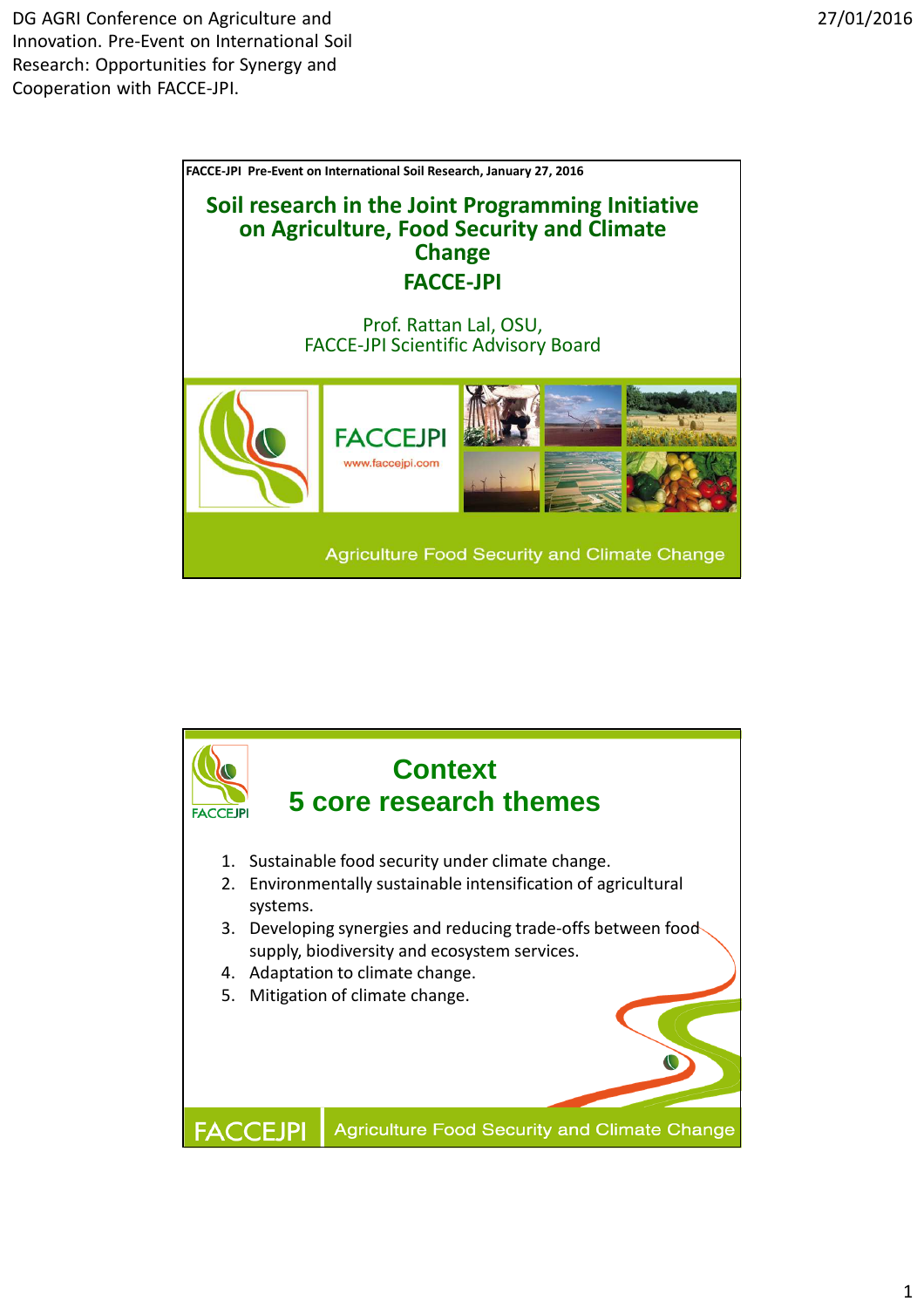

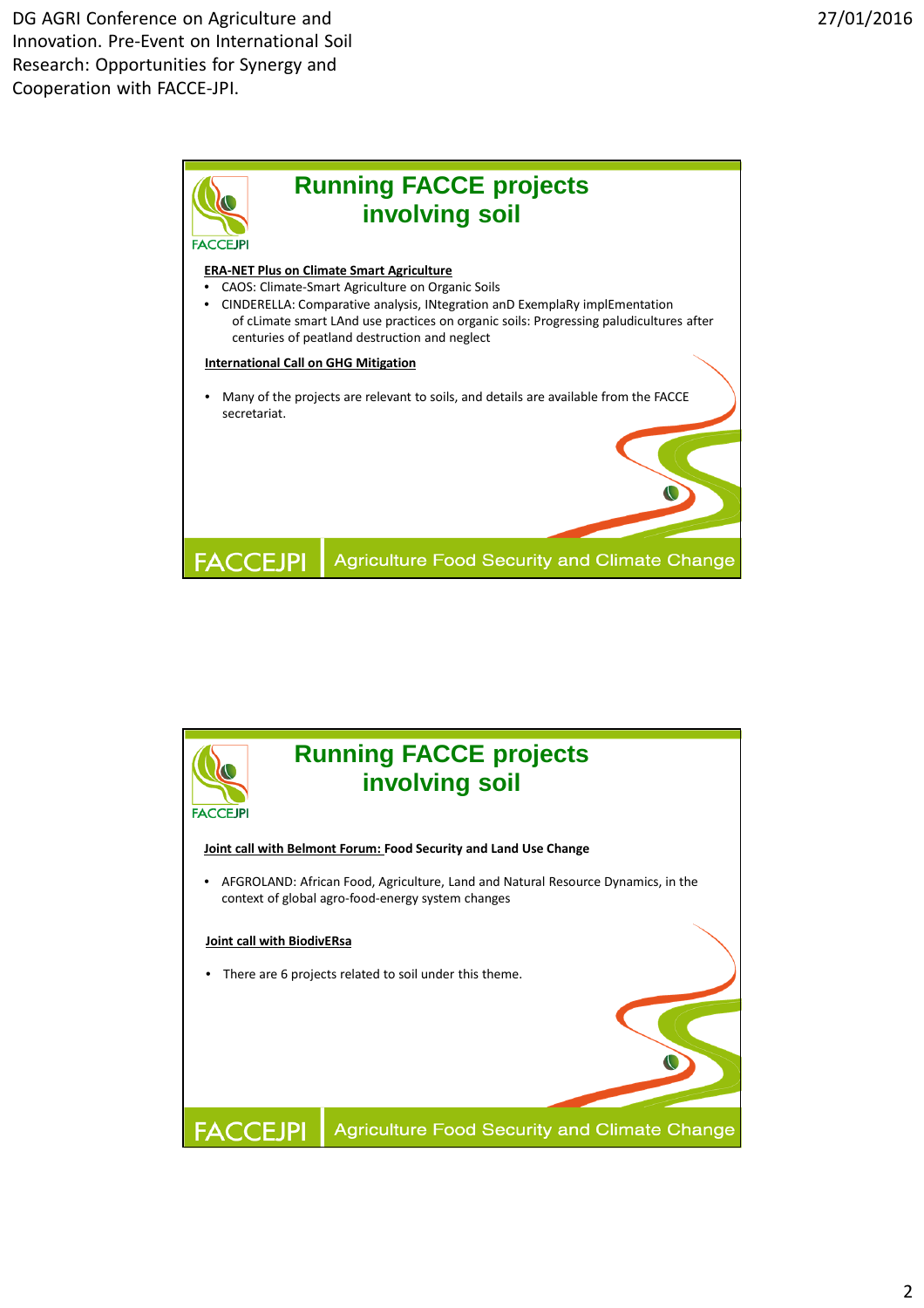

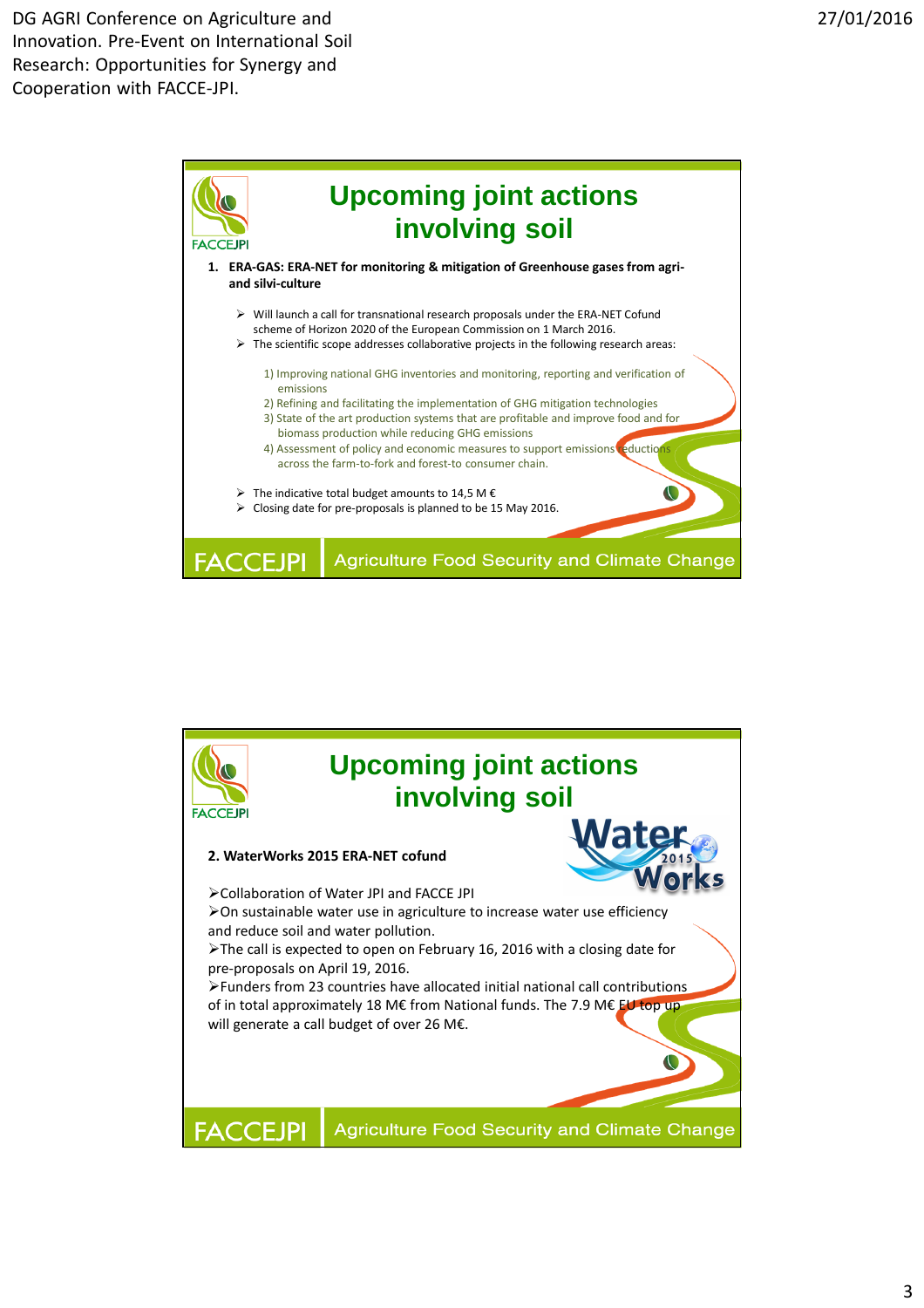

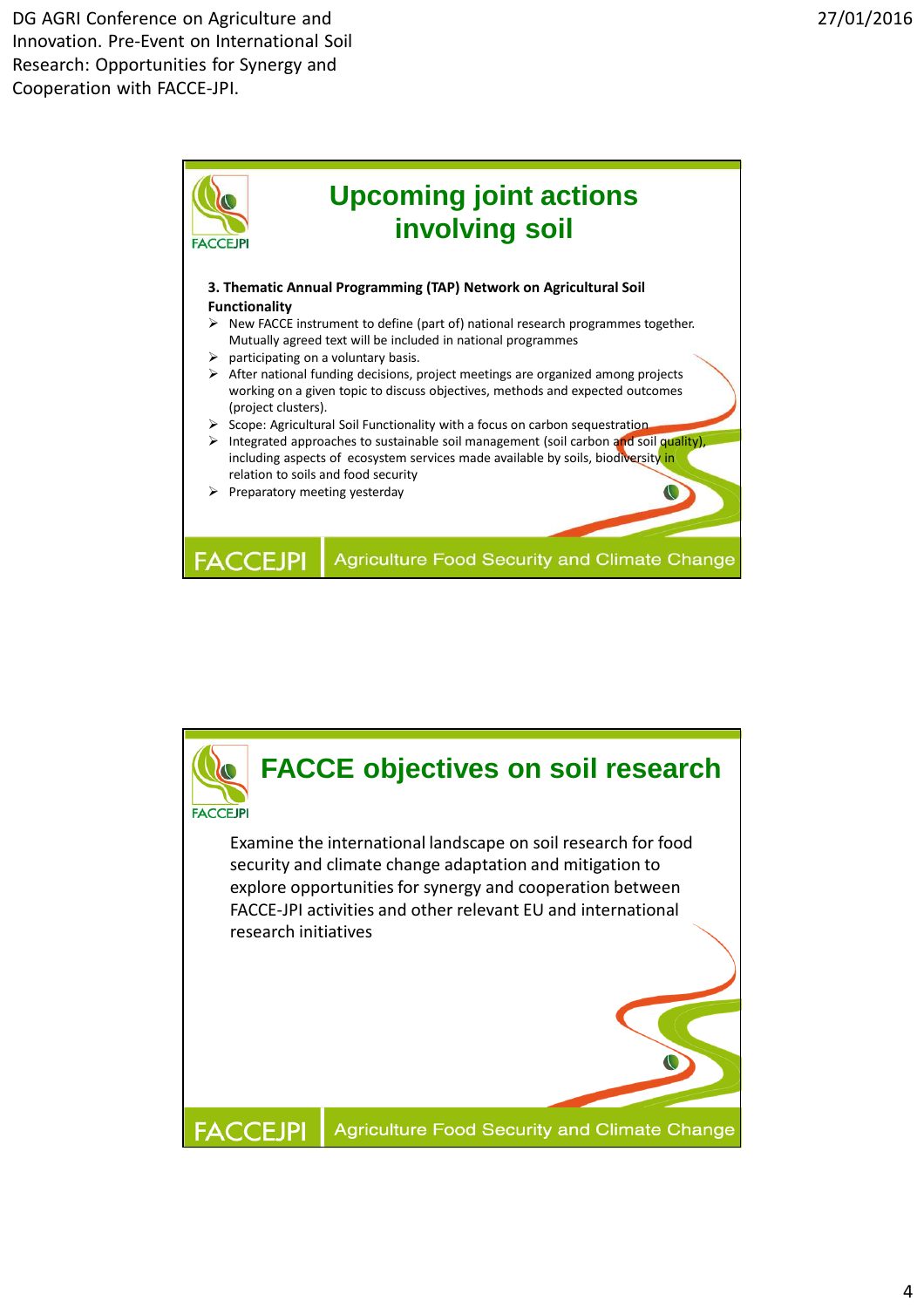

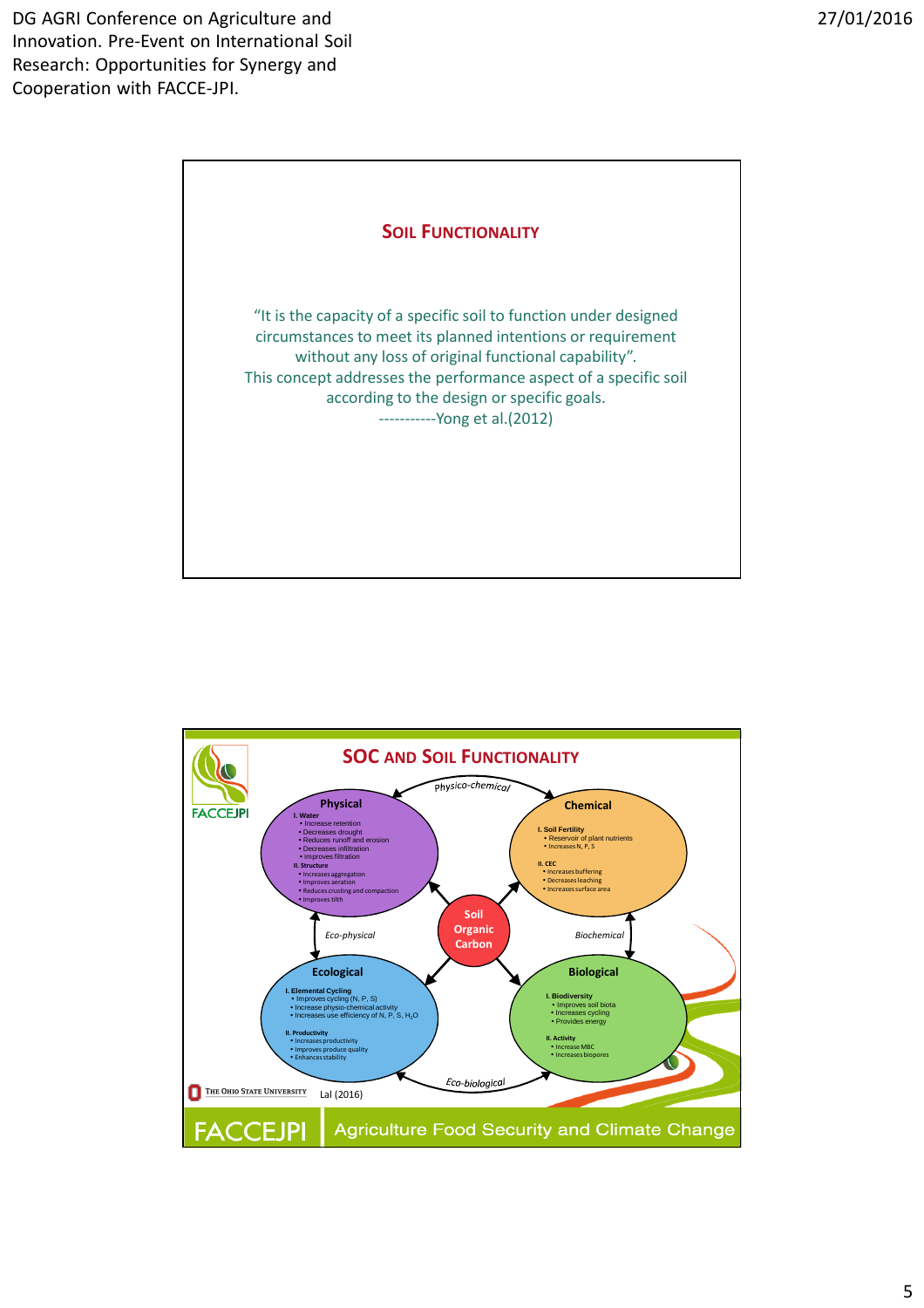

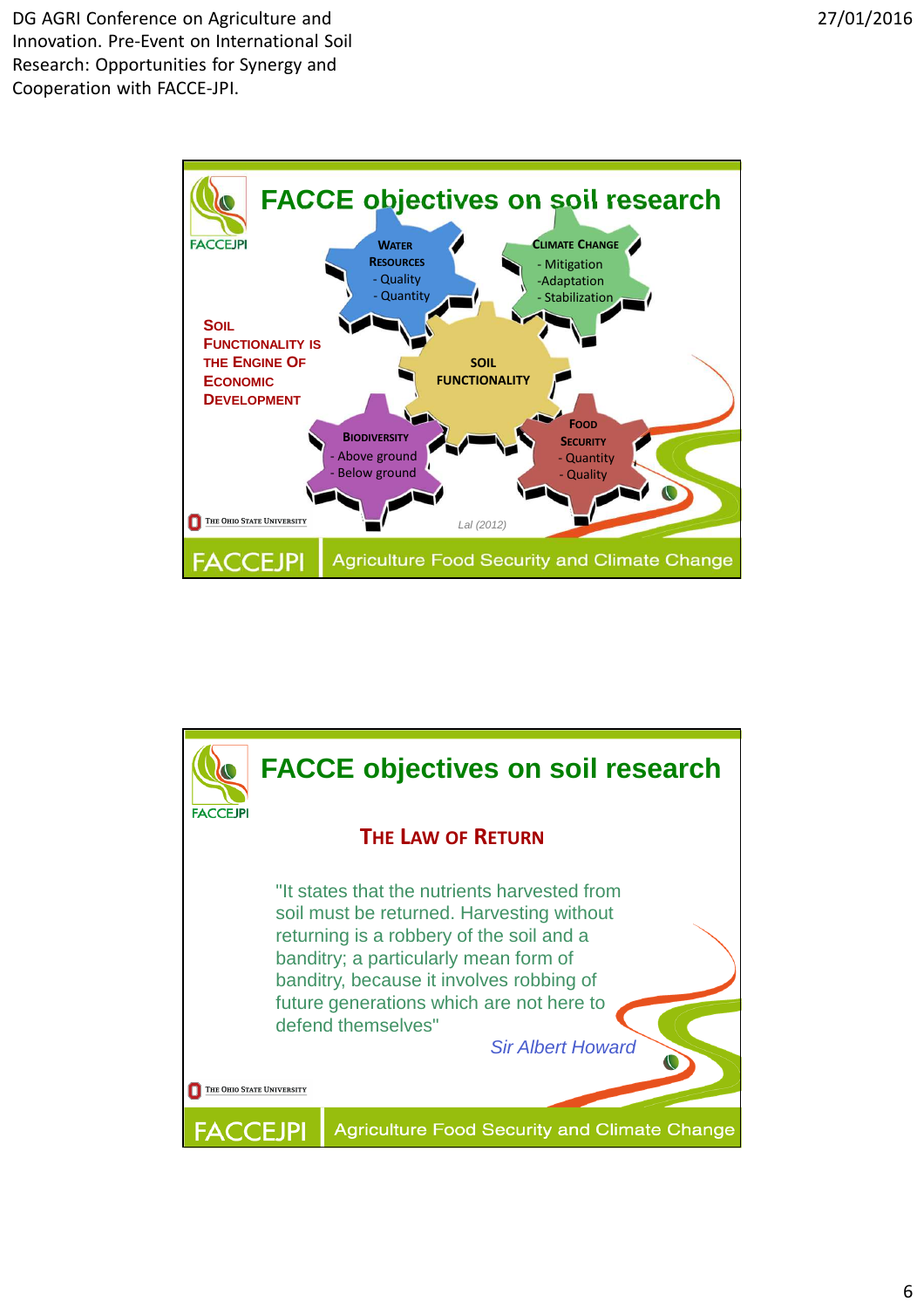